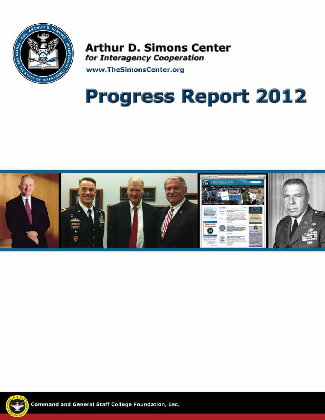

**Arthur D. Simons Center** for Interagency Cooperation

www.TheSimonsCenter.org

# **Progress Report 2012**





**Command and General Staff College Foundation, Inc.**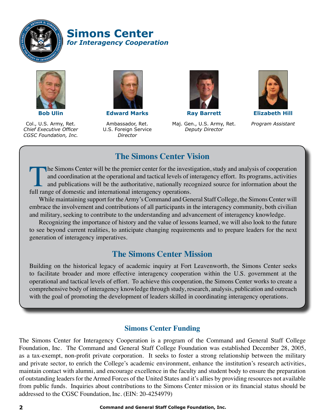

**Simons Center** *for Interagency Cooperation*



Col., U.S. Army, Ret. *Chief Executive Officer CGSC Foundation, Inc.*



**Edward Marks**

Ambassador, Ret. U.S. Foreign Service *Director*



**Ray Barrett**

Maj. Gen., U.S. Army, Ret. *Deputy Director*



**Elizabeth Hill** *Program Assistant*

### **The Simons Center Vision**

The Simons Center will be the premier center for the investigation, study and analysis of cooperation and coordination at the operational and tactical levels of interagency effort. Its programs, activities and publications will be the authoritative, nationally recognized source for information about the full range of domestic and international interagency operations.

While maintaining support for the Army's Command and General Staff College, the Simons Center will embrace the involvement and contributions of all participants in the interagency community, both civilian and military, seeking to contribute to the understanding and advancement of interagency knowledge.

Recognizing the importance of history and the value of lessons learned, we will also look to the future to see beyond current realities, to anticipate changing requirements and to prepare leaders for the next generation of interagency imperatives.

### **The Simons Center Mission**

Building on the historical legacy of academic inquiry at Fort Leavenworth, the Simons Center seeks to facilitate broader and more effective interagency cooperation within the U.S. government at the operational and tactical levels of effort. To achieve this cooperation, the Simons Center works to create a comprehensive body of interagency knowledge through study, research, analysis, publication and outreach with the goal of promoting the development of leaders skilled in coordinating interagency operations.

#### **Simons Center Funding**

The Simons Center for Interagency Cooperation is a program of the Command and General Staff College Foundation, Inc. The Command and General Staff College Foundation was established December 28, 2005, as a tax-exempt, non-profit private corporation. It seeks to foster a strong relationship between the military and private sector, to enrich the College's academic environment, enhance the institution's research activities, maintain contact with alumni, and encourage excellence in the faculty and student body to ensure the preparation of outstanding leaders for the Armed Forces of the United States and it's allies by providing resources not available from public funds. Inquiries about contributions to the Simons Center mission or its financial status should be addressed to the CGSC Foundation, Inc. (EIN: 20-4254979)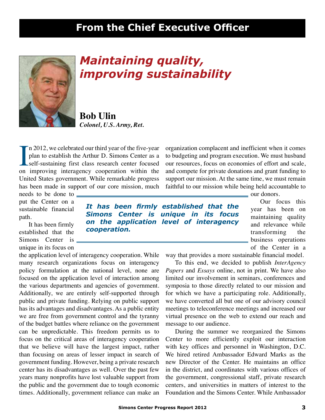## **From the Chief Executive Officer**



# *Maintaining quality, improving sustainability*

*It has been firmly established that the Simons Center is unique in its focus on the application level of interagency* 

**Bob Ulin** *Colonel, U.S. Army, Ret.*

*cooperation.*

In 2012, we celebrated our third year of the five-year<br>plan to establish the Arthur D. Simons Center as a<br>self-sustaining first class research center focused<br>on improving interagency cooperation within the n 2012, we celebrated our third year of the five-year plan to establish the Arthur D. Simons Center as a self-sustaining first class research center focused United States government. While remarkable progress has been made in support of our core mission, much

needs to be done to put the Center on a sustainable financial path.

It has been firmly established that the Simons Center is unique in its focus on

the application level of interagency cooperation. While many research organizations focus on interagency policy formulation at the national level, none are focused on the application level of interaction among the various departments and agencies of government. Additionally, we are entirely self-supported through public and private funding. Relying on public support has its advantages and disadvantages. As a public entity we are free from government control and the tyranny of the budget battles where reliance on the government can be unpredictable. This freedom permits us to focus on the critical areas of interagency cooperation that we believe will have the largest impact, rather than focusing on areas of lesser impact in search of government funding. However, being a private research center has its disadvantages as well. Over the past few years many nonprofits have lost valuable support from the public and the government due to tough economic times. Additionally, government reliance can make an

organization complacent and inefficient when it comes to budgeting and program execution. We must husband our resources, focus on economies of effort and scale, and compete for private donations and grant funding to support our mission. At the same time, we must remain faithful to our mission while being held accountable to

our donors.

*The Simons Center is a* major program of the Center in a major program of the Center in a major program of the Center in a major program of the Center in a major program of the Center in a major program of the Center in a Our focus this year has been on maintaining quality and relevance while transforming the business operations

ncy cooperation. While way that provides a more sustainable financial model.

To this end, we decided to publish *InterAgency Papers* and *Essays* online, not in print. We have also limited our involvement in seminars, conferences and symposia to those directly related to our mission and for which we have a participating role. Additionally, we have converted all but one of our advisory council meetings to teleconference meetings and increased our virtual presence on the web to extend our reach and message to our audience.

During the summer we reorganized the Simons Center to more efficiently exploit our interaction with key offices and personnel in Washington, D.C. We hired retired Ambassador Edward Marks as the new Director of the Center. He maintains an office in the district, and coordinates with various offices of the government, congressional staff, private research centers, and universities in matters of interest to the Foundation and the Simons Center. While Ambassador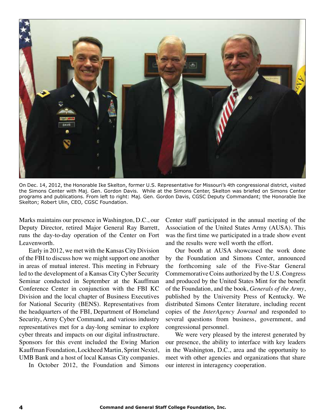

On Dec. 14, 2012, the Honorable Ike Skelton, former U.S. Representative for Missouri's 4th congressional district, visited the Simons Center with Maj. Gen. Gordon Davis. While at the Simons Center, Skelton was briefed on Simons Center programs and publications. From left to right: Maj. Gen. Gordon Davis, CGSC Deputy Commandant; the Honorable Ike Skelton; Robert Ulin, CEO, CGSC Foundation.

Marks maintains our presence in Washington, D.C., our Deputy Director, retired Major General Ray Barrett, runs the day-to-day operation of the Center on Fort Leavenworth.

Early in 2012, we met with the Kansas City Division of the FBI to discuss how we might support one another in areas of mutual interest. This meeting in February led to the development of a Kansas City Cyber Security Seminar conducted in September at the Kauffman Conference Center in conjunction with the FBI KC Division and the local chapter of Business Executives for National Security (BENS). Representatives from the headquarters of the FBI, Department of Homeland Security, Army Cyber Command, and various industry representatives met for a day-long seminar to explore cyber threats and impacts on our digital infrastructure. Sponsors for this event included the Ewing Marion Kauffman Foundation, Lockheed Martin, Sprint Nextel, UMB Bank and a host of local Kansas City companies.

In October 2012, the Foundation and Simons

Center staff participated in the annual meeting of the Association of the United States Army (AUSA). This was the first time we participated in a trade show event and the results were well worth the effort.

Our booth at AUSA showcased the work done by the Foundation and Simons Center, announced the forthcoming sale of the Five-Star General Commemorative Coins authorized by the U.S. Congress and produced by the United States Mint for the benefit of the Foundation, and the book, *Generals of the Army*, published by the University Press of Kentucky. We distributed Simons Center literature, including recent copies of the *InterAgency Journal* and responded to several questions from business, government, and congressional personnel.

We were very pleased by the interest generated by our presence, the ability to interface with key leaders in the Washington, D.C., area and the opportunity to meet with other agencies and organizations that share our interest in interagency cooperation.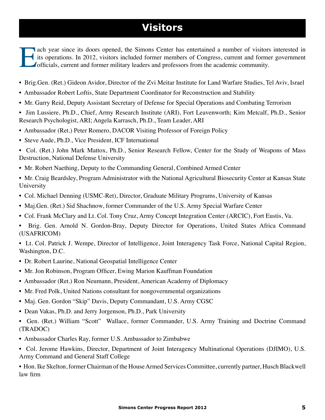# **Visitors**

ach year since its doors opened, the Simons Center has entertained a number of visitors interested in its operations. In 2012, visitors included former members of Congress, current and former government officials, current and former military leaders and professors from the academic community.

- Brig.Gen. (Ret.) Gideon Avidor, Director of the Zvi Meitar Institute for Land Warfare Studies, Tel Aviv, Israel
- Ambassador Robert Loftis, State Department Coordinator for Reconstruction and Stability
- Mr. Garry Reid, Deputy Assistant Secretary of Defense for Special Operations and Combating Terrorism
- Jim Lussiere, Ph.D., Chief, Army Research Institute (ARI), Fort Leavenworth; Kim Metcalf, Ph.D., Senior Research Psychologist, ARI; Angela Karrasch, Ph.D., Team Leader, ARI
- Ambassador (Ret.) Peter Romero, DACOR Visiting Professor of Foreign Policy
- Steve Aude, Ph.D., Vice President, ICF International
- Col. (Ret.) John Mark Mattox, Ph.D., Senior Research Fellow, Center for the Study of Weapons of Mass Destruction, National Defense University
- Mr. Robert Naething, Deputy to the Commanding General, Combined Armed Center
- Mr. Craig Beardsley, Program Administrator with the National Agricultural Biosecurity Center at Kansas State University
- Col. Michael Denning (USMC-Ret), Director, Graduate Military Programs, University of Kansas
- Maj.Gen. (Ret.) Sid Shachnow, former Commander of the U.S. Army Special Warfare Center
- Col. Frank McClary and Lt. Col. Tony Cruz, Army Concept Integration Center (ARCIC), Fort Eustis, Va.
- Brig. Gen. Arnold N. Gordon-Bray, Deputy Director for Operations, United States Africa Command (USAFRICOM)

• Lt. Col. Patrick J. Wempe, Director of Intelligence, Joint Interagency Task Force, National Capital Region, Washington, D.C.

- Dr. Robert Laurine, National Geospatial Intelligence Center
- Mr. Jon Robinson, Program Officer, Ewing Marion Kauffman Foundation
- Ambassador (Ret.) Ron Neumann, President, American Academy of Diplomacy
- Mr. Fred Polk, United Nations consultant for nongovernmental organizations
- Maj. Gen. Gordon "Skip" Davis, Deputy Commandant, U.S. Army CGSC
- Dean Vakas, Ph.D. and Jerry Jorgenson, Ph.D., Park University
- Gen. (Ret.) William "Scott" Wallace, former Commander, U.S. Army Training and Doctrine Command (TRADOC)
- Ambassador Charles Ray, former U.S. Ambassador to Zimbabwe
- Col. Jerome Hawkins, Director, Department of Joint Interagency Multinational Operations (DJIMO), U.S. Army Command and General Staff College

• Hon. Ike Skelton, former Chairman of the House Armed Services Committee, currently partner, Husch Blackwell law firm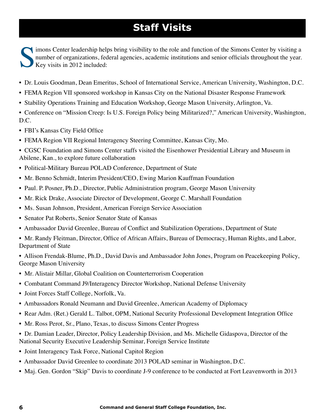# **Staff Visits**

imons Center leadership helps bring visibility to the role and function of the Simons Center by visiting a number of organizations, federal agencies, academic institutions and senior officials throughout the year. Key visits in 2012 included:

- Dr. Louis Goodman, Dean Emeritus, School of International Service, American University, Washington, D.C.
- FEMA Region VII sponsored workshop in Kansas City on the National Disaster Response Framework
- Stability Operations Training and Education Workshop, George Mason University, Arlington, Va.
- Conference on "Mission Creep: Is U.S. Foreign Policy being Militarized?," American University, Washington, D.C.
- FBI's Kansas City Field Office
- FEMA Region VII Regional Interagency Steering Committee, Kansas City, Mo.
- CGSC Foundation and Simons Center staffs visited the Eisenhower Presidential Library and Museum in Abilene, Kan., to explore future collaboration
- Political-Military Bureau POLAD Conference, Department of State
- Mr. Benno Schmidt, Interim President/CEO, Ewing Marion Kauffman Foundation
- Paul. P. Posner, Ph.D., Director, Public Administration program, George Mason University
- Mr. Rick Drake, Associate Director of Development, George C. Marshall Foundation
- Ms. Susan Johnson, President, American Foreign Service Association
- Senator Pat Roberts, Senior Senator State of Kansas
- Ambassador David Greenlee, Bureau of Conflict and Stabilization Operations, Department of State
- Mr. Randy Fleitman, Director, Office of African Affairs, Bureau of Democracy, Human Rights, and Labor, Department of State
- Allison Frendak-Blume, Ph.D., David Davis and Ambassador John Jones, Program on Peacekeeping Policy, George Mason University
- Mr. Alistair Millar, Global Coalition on Counterterrorism Cooperation
- Combatant Command J9/Interagency Director Workshop, National Defense University
- Joint Forces Staff College, Norfolk, Va.
- Ambassadors Ronald Neumann and David Greenlee, American Academy of Diplomacy
- Rear Adm. (Ret.) Gerald L. Talbot, OPM, National Security Professional Development Integration Office
- Mr. Ross Perot, Sr., Plano, Texas, to discuss Simons Center Progress
- Dr. Damian Leader, Director, Policy Leadership Division, and Ms. Michelle Gidaspova, Director of the National Security Executive Leadership Seminar, Foreign Service Institute
- Joint Interagency Task Force, National Capitol Region
- Ambassador David Greenlee to coordinate 2013 POLAD seminar in Washington, D.C.
- Maj. Gen. Gordon "Skip" Davis to coordinate J-9 conference to be conducted at Fort Leavenworth in 2013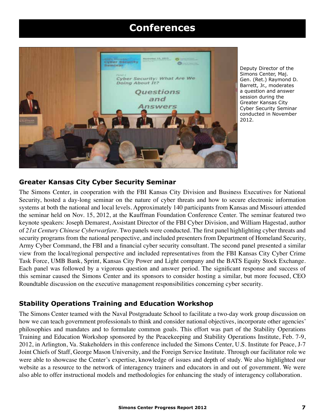### **Conferences**



Deputy Director of the Simons Center, Maj. Gen. (Ret.) Raymond D. Barrett, Jr., moderates a question and answer session during the Greater Kansas City Cyber Security Seminar conducted in November 2012.

#### **Greater Kansas City Cyber Security Seminar**

The Simons Center, in cooperation with the FBI Kansas City Division and Business Executives for National Security, hosted a day-long seminar on the nature of cyber threats and how to secure electronic information systems at both the national and local levels. Approximately 140 participants from Kansas and Missouri attended the seminar held on Nov. 15, 2012, at the Kauffman Foundation Conference Center. The seminar featured two keynote speakers: Joseph Demarest, Assistant Director of the FBI Cyber Division, and William Hagestad, author of *21st Century Chinese Cyberwarfare*. Two panels were conducted. The first panel highlighting cyber threats and security programs from the national perspective, and included presenters from Department of Homeland Security, Army Cyber Command, the FBI and a financial cyber security consultant. The second panel presented a similar view from the local/regional perspective and included representatives from the FBI Kansas City Cyber Crime Task Force, UMB Bank, Sprint, Kansas City Power and Light company and the BATS Equity Stock Exchange. Each panel was followed by a vigorous question and answer period. The significant response and success of this seminar caused the Simons Center and its sponsors to consider hosting a similar, but more focused, CEO Roundtable discussion on the executive management responsibilities concerning cyber security.

#### **Stability Operations Training and Education Workshop**

The Simons Center teamed with the Naval Postgraduate School to facilitate a two-day work group discussion on how we can teach government professionals to think and consider national objectives, incorporate other agencies' philosophies and mandates and to formulate common goals. This effort was part of the Stability Operations Training and Education Workshop sponsored by the Peacekeeping and Stability Operations Institute, Feb. 7-9, 2012, in Arlington, Va. Stakeholders in this conference included the Simons Center, U.S. Institute for Peace, J-7 Joint Chiefs of Staff, George Mason University, and the Foreign Service Institute. Through our facilitator role we were able to showcase the Center's expertise, knowledge of issues and depth of study. We also highlighted our website as a resource to the network of interagency trainers and educators in and out of government. We were also able to offer instructional models and methodologies for enhancing the study of interagency collaboration.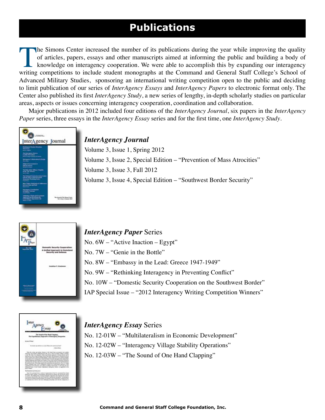# **Publications**

The Simons Center increased the number of its publications during the year while improving the quality of articles, papers, essays and other manuscripts aimed at informing the public and building a body of knowledge on interagency cooperation. We were able to accomplish this by expanding our interagency writing competitions to include student monographs at the Command and General Staff College's School of Advanced Military Studies, sponsoring an international writing competition open to the public and deciding to limit publication of our series of *InterAgency Essays* and *InterAgency Papers* to electronic format only. The Center also published its first *InterAgency Study*, a new series of lengthy, in-depth scholarly studies on particular areas, aspects or issues concerning interagency cooperation, coordination and collaboration.

Major publications in 2012 included four editions of the *InterAgency Journal*, six papers in the *InterAgency Paper* series, three essays in the *InterAgency Essay* series and for the first time, one *InterAgency Study*.



#### *InterAgency Journal*

Volume 3, Issue 1, Spring 2012 Volume 3, Issue 2, Special Edition – "Prevention of Mass Atrocities" Volume 3, Issue 3, Fall 2012 Volume 3, Issue 4, Special Edition – "Southwest Border Security"



#### *InterAgency Paper* Series

No. 6W – "Active Inaction – Egypt"

No. 7W – "Genie in the Bottle"

No. 8W – "Embassy in the Lead: Greece 1947-1949"

No. 9W – "Rethinking Interagency in Preventing Conflict"

No. 10W – "Domestic Security Cooperation on the Southwest Border"

IAP Special Issue – "2012 Interagency Writing Competition Winners"



#### *InterAgency Essay* Series

No. 12-01W – "Multilateralism in Economic Development" No. 12-02W – "Interagency Village Stability Operations" No. 12-03W – "The Sound of One Hand Clapping"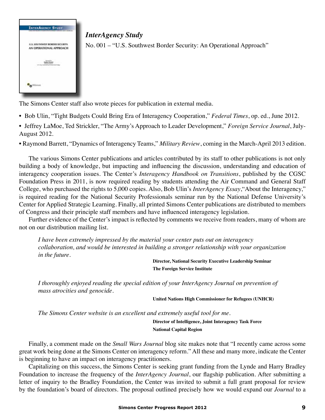

*InterAgency Study* No. 001 – "U.S. Southwest Border Security: An Operational Approach"

The Simons Center staff also wrote pieces for publication in external media.

- Bob Ulin, "Tight Budgets Could Bring Era of Interagency Cooperation," *Federal Times*, op. ed., June 2012.
- Jeffrey LaMoe, Ted Strickler, "The Army's Approach to Leader Development," *Foreign Service Journal*, July-August 2012.

• Raymond Barrett, "Dynamics of Interagency Teams," *Military Review*, coming in the March-April 2013 edition.

The various Simons Center publications and articles contributed by its staff to other publications is not only building a body of knowledge, but impacting and influencing the discussion, understanding and education of interagency cooperation issues. The Center's *Interagency Handbook on Transitions*, published by the CGSC Foundation Press in 2011, is now required reading by students attending the Air Command and General Staff College, who purchased the rights to 5,000 copies. Also, Bob Ulin's *InterAgency Essay*,"About the Interagency," is required reading for the National Security Professionals seminar run by the National Defense University's Center for Applied Strategic Learning. Finally, all printed Simons Center publications are distributed to members of Congress and their principle staff members and have influenced interagency legislation.

Further evidence of the Center's impact is reflected by comments we receive from readers, many of whom are not on our distribution mailing list.

*I have been extremely impressed by the material your center puts out on interagency collaboration, and would be interested in building a stronger relationship with your organization in the future.*

> **Director, National Security Executive Leadership Seminar The Foreign Service Institute**

*I thoroughly enjoyed reading the special edition of your InterAgency Journal on prevention of mass atrocities and genocide.*

**United Nations High Commissioner for Refugees (UNHCR)**

*The Simons Center website is an excellent and extremely useful tool for me.*

 **Director of Intelligence, Joint Interagency Task Force National Capital Region**

Finally, a comment made on the *Small Wars Journal* blog site makes note that "I recently came across some great work being done at the Simons Center on interagency reform." All these and many more, indicate the Center is beginning to have an impact on interagency practitioners.

Capitalizing on this success, the Simons Center is seeking grant funding from the Lynde and Harry Bradley Foundation to increase the frequency of the *InterAgency Journal*, our flagship publication. After submitting a letter of inquiry to the Bradley Foundation, the Center was invited to submit a full grant proposal for review by the foundation's board of directors. The proposal outlined precisely how we would expand our *Journal* to a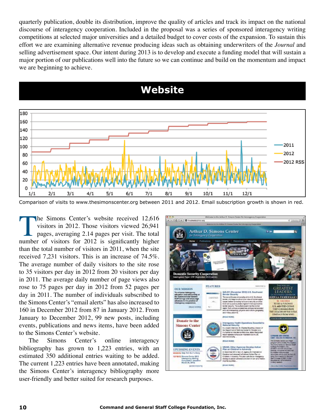quarterly publication, double its distribution, improve the quality of articles and track its impact on the national discourse of interagency cooperation. Included in the proposal was a series of sponsored interagency writing competitions at selected major universities and a detailed budget to cover costs of the expansion. To sustain this effort we are examining alternative revenue producing ideas such as obtaining underwriters of the *Journal* and selling advertisement space. Our intent during 2013 is to develop and execute a funding model that will sustain a major portion of our publications well into the future so we can continue and build on the momentum and impact we are beginning to achieve.

**Website**



Comparison of visits to www.thesimonscenter.org between 2011 and 2012. Email subscription growth is shown in red.

The Simons Center's website received 12,616 visitors in 2012. Those visitors viewed 26,941 pages, averaging 2.14 pages per visit. The total number of visitors for 2012 is significantly higher than the total number of visitors in 2011, when the site received 7,231 visitors. This is an increase of 74.5%. The average number of daily visitors to the site rose to 35 visitors per day in 2012 from 20 visitors per day in 2011. The average daily number of page views also rose to 75 pages per day in 2012 from 52 pages per day in 2011. The number of individuals subscribed to the Simons Center's "email alerts" has also increased to 160 in December 2012 from 87 in January 2012. From January to December 2012, 99 new posts, including events, publications and news items, have been added to the Simons Center's website.

The Simons Center's online interagency bibliography has grown to 1,223 entries, with an estimated 350 additional entries waiting to be added. The current 1,223 entries have been annotated, making the Simons Center's interagency bibliography more user-friendly and better suited for research purposes.

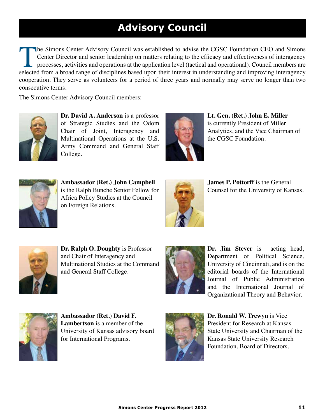# **Advisory Council**

The Simons Center Advisory Council was established to advise the CGSC Foundation CEO and Simons Center Director and senior leadership on matters relating to the efficacy and effectiveness of interagency processes, activities and operations at the application level (tactical and operational). Council members are selected from a broad range of disciplines based upon their interest in understanding and improving interagency cooperation. They serve as volunteers for a period of three years and normally may serve no longer than two consecutive terms.

The Simons Center Advisory Council members:



**Dr. David A. Anderson** is a professor of Strategic Studies and the Odom Chair of Joint, Interagency and Multinational Operations at the U.S. Army Command and General Staff College.



**Lt. Gen. (Ret.) John E. Miller** is currently President of Miller Analytics, and the Vice Chairman of the CGSC Foundation.



**Ambassador (Ret.) John Campbell** is the Ralph Bunche Senior Fellow for Africa Policy Studies at the Council on Foreign Relations.

![](_page_10_Picture_9.jpeg)

**James P. Pottorff** is the General Counsel for the University of Kansas.

![](_page_10_Picture_11.jpeg)

**Dr. Ralph O. Doughty** is Professor and Chair of Interagency and Multinational Studies at the Command and General Staff College.

![](_page_10_Picture_13.jpeg)

**Dr. Jim Stever** is acting head, Department of Political Science, University of Cincinnati, and is on the editorial boards of the International Journal of Public Administration and the International Journal of Organizational Theory and Behavior.

![](_page_10_Picture_15.jpeg)

**Ambassador (Ret.) David F. Lambertson** is a member of the University of Kansas advisory board for International Programs.

![](_page_10_Picture_17.jpeg)

**Dr. Ronald W. Trewyn** is Vice President for Research at Kansas State University and Chairman of the Kansas State University Research Foundation, Board of Directors.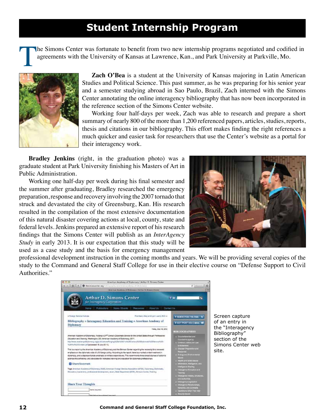### **Student Internship Program**

The Simons Center was fortunate to benefit from two new internship programs negotiated and codified in agreements with the University of Kansas at Lawrence, Kan., and Park University at Parkville, Mo. agreements with the University of Kansas at Lawrence, Kan., and Park University at Parkville, Mo.

![](_page_11_Picture_2.jpeg)

**Zach O'Bea** is a student at the University of Kansas majoring in Latin American Studies and Political Science. This past summer, as he was preparing for his senior year and a semester studying abroad in Sao Paulo, Brazil, Zach interned with the Simons Center annotating the online interagency bibliography that has now been incorporated in the reference section of the Simons Center website.

Working four half-days per week, Zach was able to research and prepare a short summary of nearly 800 of the more than 1,200 referenced papers, articles, studies, reports, thesis and citations in our bibliography. This effort makes finding the right references a much quicker and easier task for researchers that use the Center's website as a portal for their interagency work.

**Bradley Jenkins** (right, in the graduation photo) was a graduate student at Park University finishing his Masters of Art in Public Administration.

Working one half-day per week during his final semester and the summer after graduating, Bradley researched the emergency preparation, response and recovery involving the 2007 tornado that struck and devastated the city of Greensburg, Kan. His research resulted in the compilation of the most extensive documentation of this natural disaster covering actions at local, county, state and federal levels. Jenkins prepared an extensive report of his research findings that the Simons Center will publish as an *InterAgency Study* in early 2013. It is our expectation that this study will be used as a case study and the basis for emergency management

![](_page_11_Picture_7.jpeg)

professional development instruction in the coming months and years. We will be providing several copies of the study to the Command and General Staff College for use in their elective course on "Defense Support to Civil Authorities."

| 73.53                                                                                                                                                                                                                                                                                                                                                                                                                                                                                                      |                                                                                  | American Academy of Diplomary   Arthur O. Simons Center                                                                                                                                                                                                                                                                                                 |                         |                                                                                                                                            |
|------------------------------------------------------------------------------------------------------------------------------------------------------------------------------------------------------------------------------------------------------------------------------------------------------------------------------------------------------------------------------------------------------------------------------------------------------------------------------------------------------------|----------------------------------------------------------------------------------|---------------------------------------------------------------------------------------------------------------------------------------------------------------------------------------------------------------------------------------------------------------------------------------------------------------------------------------------------------|-------------------------|--------------------------------------------------------------------------------------------------------------------------------------------|
|                                                                                                                                                                                                                                                                                                                                                                                                                                                                                                            | 4 5 8 9 1 6 0 th instantation of the contract of the contract of the contract of |                                                                                                                                                                                                                                                                                                                                                         |                         | o<br>古山                                                                                                                                    |
|                                                                                                                                                                                                                                                                                                                                                                                                                                                                                                            |                                                                                  | American Aradema of Blakeways LActric D. Science Correc-                                                                                                                                                                                                                                                                                                |                         |                                                                                                                                            |
|                                                                                                                                                                                                                                                                                                                                                                                                                                                                                                            | <b>Arthur D. Simons Center</b><br>for Intervigency Compression                   |                                                                                                                                                                                                                                                                                                                                                         | $T$ for                 | a                                                                                                                                          |
|                                                                                                                                                                                                                                                                                                                                                                                                                                                                                                            | Publications   News / Bentle<br><b>Home</b>                                      | <b>Restorance:</b>                                                                                                                                                                                                                                                                                                                                      | Atrac Us<br>Contact Us: |                                                                                                                                            |
| e Posegn Service Institute                                                                                                                                                                                                                                                                                                                                                                                                                                                                                 |                                                                                  | Prantisers, Grey and Lynn Lawry, N.D. e.                                                                                                                                                                                                                                                                                                                |                         | <b>* SUBSCRIBE VIA RSS N</b>                                                                                                               |
| Diplomacy                                                                                                                                                                                                                                                                                                                                                                                                                                                                                                  |                                                                                  | Bibliography » Interagency Education and Training » American Academy of                                                                                                                                                                                                                                                                                 |                         | <b># OCT POST VIA C-MAIL</b>                                                                                                               |
| Ainertoan Azademy at Diplomacy, Porging a 21 <sup>4</sup> Contary Diplomate Service to the United States through Prefessional<br>Education and Trewing, Westkington, DC: American Academy of Biolomacy, 2011.<br>http://www.academyorklipineracy.org/publications/Forging/N20s152021s/N20Ecentery%200balterastic%20fterens/%35-<br>1426 Pull 1527 Content Coll Grounsed 19 July 2011)<br>This is a report sy the American Applamy of Distorany and the Dimson Center repending the receively for a remeand |                                                                                  |                                                                                                                                                                                                                                                                                                                                                         | Fretay, May 19, 2012    | <b>MINJOGRAPHES</b><br>. Disclamination and<br><b>Distancepers</b><br>. O'end Jake and Law<br><b>SECTION</b> VIA<br>. Divide Proportiviand |
| <b>B</b> Share/Scovmark                                                                                                                                                                                                                                                                                                                                                                                                                                                                                    |                                                                                  | employee on the cipic-hatic cide of U.S. foreign policy. According to the report, there is a marked underniventment in<br>distance), and a displacements amphasis on military expenditures. This recommends three broad courses of sciton to<br>appress this cerceivingy, and devocates for increased paining and education for dicks mate preferee are | <b>COLLANS</b>          | . Every inclusion and<br>. Health and both bound<br>. Stevens, Fallgalle and                                                               |
|                                                                                                                                                                                                                                                                                                                                                                                                                                                                                                            |                                                                                  | Tage American Academy of Dickonacy (AAD), Artentian Foreign Dervice Association (AFDA), Diplomacy, Octomatic,<br>Rifucados, Leadership, professional development, vicert, Risk Department (DOM), Stimuse Center, Training                                                                                                                               | a teat                  | <b>Indigence Strateg</b><br>. Heaping finishment<br>. Photograph in the public of a month.<br><b>EXCAMPAGE</b>                             |
| <b>Share Your Thoughts</b>                                                                                                                                                                                                                                                                                                                                                                                                                                                                                 |                                                                                  |                                                                                                                                                                                                                                                                                                                                                         |                         | . Imagery Lapkitz                                                                                                                          |

Screen capture of an entry in he "Interagency Bibliography" section of the Simons Center web site.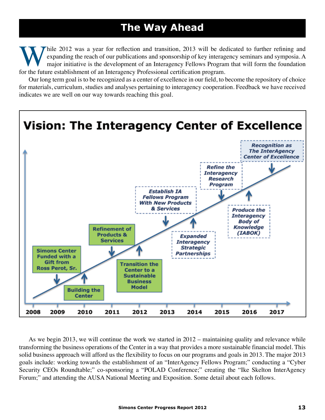## **The Way Ahead**

While 2012 was a year for reflection and transition, 2013 will be dedicated to further refining and expanding the reach of our publications and sponsorship of key interagency seminars and symposia. A major initiative is th expanding the reach of our publications and sponsorship of key interagency seminars and symposia. A major initiative is the development of an Interagency Fellows Program that will form the foundation for the future establishment of an Interagency Professional certification program.

Our long term goal is to be recognized as a center of excellence in our field, to become the repository of choice for materials, curriculum, studies and analyses pertaining to interagency cooperation. Feedback we have received indicates we are well on our way towards reaching this goal.

![](_page_12_Figure_3.jpeg)

As we begin 2013, we will continue the work we started in 2012 – maintaining quality and relevance while transforming the business operations of the Center in a way that provides a more sustainable financial model. This solid business approach will afford us the flexibility to focus on our programs and goals in 2013. The major 2013 goals include: working towards the establishment of an "InterAgency Fellows Program;" conducting a "Cyber Security CEOs Roundtable;" co-sponsoring a "POLAD Conference;" creating the "Ike Skelton InterAgency Forum;" and attending the AUSA National Meeting and Exposition. Some detail about each follows.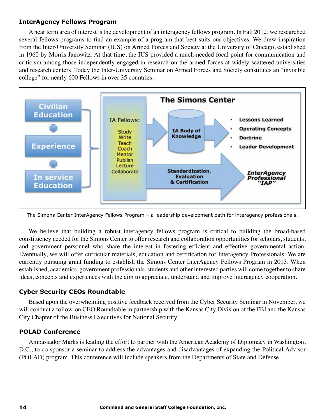#### **InterAgency Fellows Program**

A near term area of interest is the development of an interagency fellows program. In Fall 2012, we researched several fellows programs to find an example of a program that best suits our objectives. We drew inspiration from the Inter-University Seminar (IUS) on Armed Forces and Society at the University of Chicago, established in 1960 by Morris Janowitz. At that time, the IUS provided a much-needed focal point for communication and criticism among those independently engaged in research on the armed forces at widely scattered universities and research centers. Today the Inter-University Seminar on Armed Forces and Society constitutes an "invisible college" for nearly 600 Fellows in over 35 countries.

![](_page_13_Figure_2.jpeg)

The Simons Center InterAgency Fellows Program – a leadership development path for interagency professionals.

We believe that building a robust interagency fellows program is critical to building the broad-based constituency needed for the Simons Center to offer research and collaboration opportunities for scholars, students, and government personnel who share the interest in fostering efficient and effective governmental action. Eventually, we will offer curricular materials, education and certification for Interagency Professionals. We are currently pursuing grant funding to establish the Simons Center InterAgency Fellows Program in 2013. When established, academics, government professionals, students and other interested parties will come together to share ideas, concepts and experiences with the aim to appreciate, understand and improve interagency cooperation.

#### **Cyber Security CEOs Roundtable**

Based upon the overwhelming positive feedback received from the Cyber Security Seminar in November, we will conduct a follow-on CEO Roundtable in partnership with the Kansas City Division of the FBI and the Kansas City Chapter of the Business Executives for National Security.

#### **POLAD Conference**

Ambassador Marks is leading the effort to partner with the American Academy of Diplomacy in Washington, D.C., to co-sponsor a seminar to address the advantages and disadvantages of expanding the Political Advisor (POLAD) program. This conference will include speakers from the Departments of State and Defense.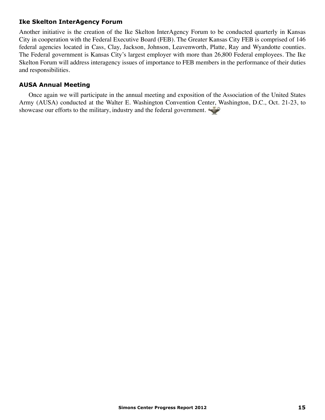#### **Ike Skelton InterAgency Forum**

Another initiative is the creation of the Ike Skelton InterAgency Forum to be conducted quarterly in Kansas City in cooperation with the Federal Executive Board (FEB). The Greater Kansas City FEB is comprised of 146 federal agencies located in Cass, Clay, Jackson, Johnson, Leavenworth, Platte, Ray and Wyandotte counties. The Federal government is Kansas City's largest employer with more than 26,800 Federal employees. The Ike Skelton Forum will address interagency issues of importance to FEB members in the performance of their duties and responsibilities.

#### **AUSA Annual Meeting**

Once again we will participate in the annual meeting and exposition of the Association of the United States Army (AUSA) conducted at the Walter E. Washington Convention Center, Washington, D.C., Oct. 21-23, to showcase our efforts to the military, industry and the federal government.